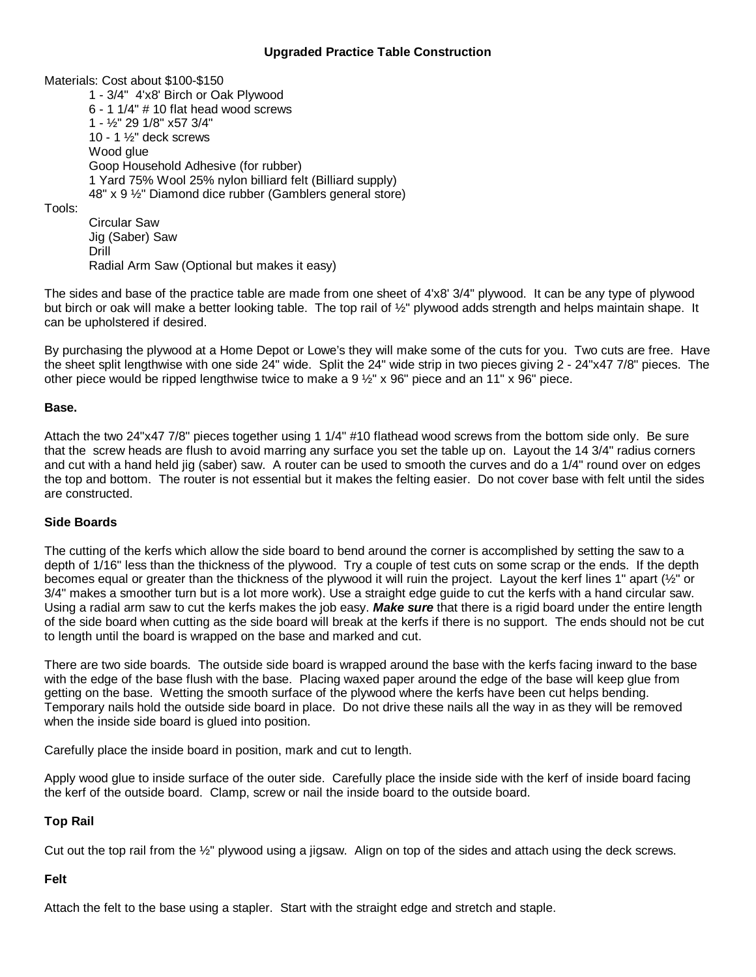## **Upgraded Practice Table Construction**

Materials: Cost about \$100-\$150

1 - 3/4" 4'x8' Birch or Oak Plywood 6 - 1 1/4" # 10 flat head wood screws 1 - ½" 29 1/8" x57 3/4" 10 - 1 ½" deck screws Wood glue Goop Household Adhesive (for rubber) 1 Yard 75% Wool 25% nylon billiard felt (Billiard supply) 48" x 9 ½" Diamond dice rubber (Gamblers general store)

Tools:

Circular Saw Jig (Saber) Saw Drill Radial Arm Saw (Optional but makes it easy)

The sides and base of the practice table are made from one sheet of 4'x8' 3/4" plywood. It can be any type of plywood but birch or oak will make a better looking table. The top rail of ½" plywood adds strength and helps maintain shape. It can be upholstered if desired.

By purchasing the plywood at a Home Depot or Lowe's they will make some of the cuts for you. Two cuts are free. Have the sheet split lengthwise with one side 24" wide. Split the 24" wide strip in two pieces giving 2 - 24"x47 7/8" pieces. The other piece would be ripped lengthwise twice to make a 9 ½" x 96" piece and an 11" x 96" piece.

## **Base.**

Attach the two 24"x47 7/8" pieces together using 1 1/4" #10 flathead wood screws from the bottom side only. Be sure that the screw heads are flush to avoid marring any surface you set the table up on. Layout the 14 3/4" radius corners and cut with a hand held jig (saber) saw. A router can be used to smooth the curves and do a 1/4" round over on edges the top and bottom. The router is not essential but it makes the felting easier. Do not cover base with felt until the sides are constructed.

# **Side Boards**

The cutting of the kerfs which allow the side board to bend around the corner is accomplished by setting the saw to a depth of 1/16" less than the thickness of the plywood. Try a couple of test cuts on some scrap or the ends. If the depth becomes equal or greater than the thickness of the plywood it will ruin the project. Layout the kerf lines 1" apart (½" or 3/4" makes a smoother turn but is a lot more work). Use a straight edge guide to cut the kerfs with a hand circular saw. Using a radial arm saw to cut the kerfs makes the job easy. *Make sure* that there is a rigid board under the entire length of the side board when cutting as the side board will break at the kerfs if there is no support. The ends should not be cut to length until the board is wrapped on the base and marked and cut.

There are two side boards. The outside side board is wrapped around the base with the kerfs facing inward to the base with the edge of the base flush with the base. Placing waxed paper around the edge of the base will keep glue from getting on the base. Wetting the smooth surface of the plywood where the kerfs have been cut helps bending. Temporary nails hold the outside side board in place. Do not drive these nails all the way in as they will be removed when the inside side board is glued into position.

Carefully place the inside board in position, mark and cut to length.

Apply wood glue to inside surface of the outer side. Carefully place the inside side with the kerf of inside board facing the kerf of the outside board. Clamp, screw or nail the inside board to the outside board.

#### **Top Rail**

Cut out the top rail from the ½" plywood using a jigsaw. Align on top of the sides and attach using the deck screws.

# **Felt**

Attach the felt to the base using a stapler. Start with the straight edge and stretch and staple.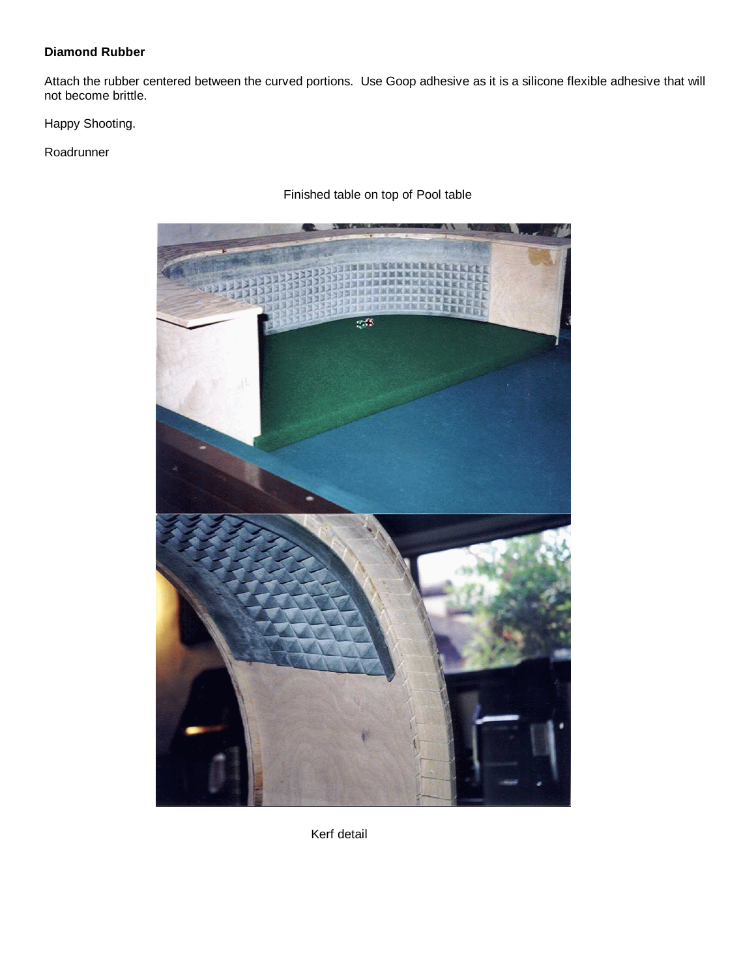# **Diamond Rubber**

Attach the rubber centered between the curved portions. Use Goop adhesive as it is a silicone flexible adhesive that will not become brittle.

Happy Shooting.

Roadrunner



Finished table on top of Pool table

Kerf detail